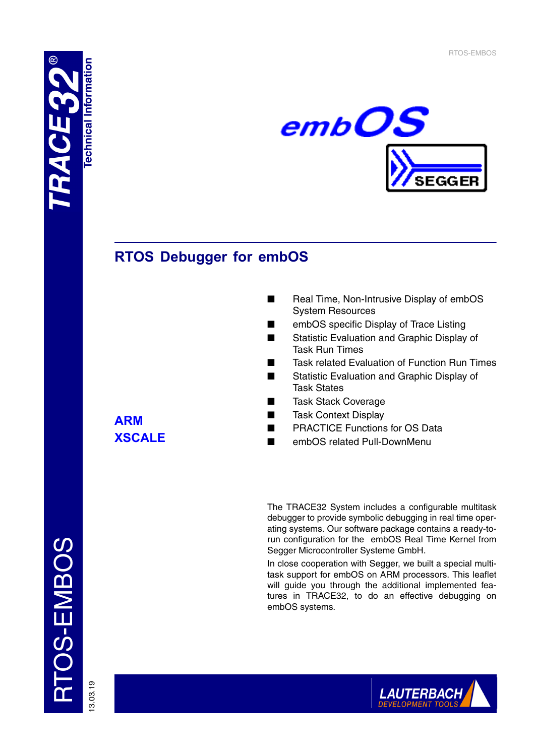



# **RTOS Debugger for embOS**

- Real Time, Non-Intrusive Display of embOS System Resources
- embOS specific Display of Trace Listing
- Statistic Evaluation and Graphic Display of Task Run Times
- Task related Evaluation of Function Run Times
- Statistic Evaluation and Graphic Display of Task States
- Task Stack Coverage
- **Task Context Display**
- PRACTICE Functions for OS Data
- embOS related Pull-DownMenu

The TRACE32 System includes a configurable multitask debugger to provide symbolic debugging in real time operating systems. Our software package contains a ready-torun configuration for the embOS Real Time Kernel from Segger Microcontroller Systeme GmbH.

In close cooperation with Segger, we built a special multitask support for embOS on ARM processors. This leaflet will guide you through the additional implemented features in TRACE32, to do an effective debugging on embOS systems.

**ARM XSCALE**

TOS-EMBOS RTOS-EMBOS

13.03.19

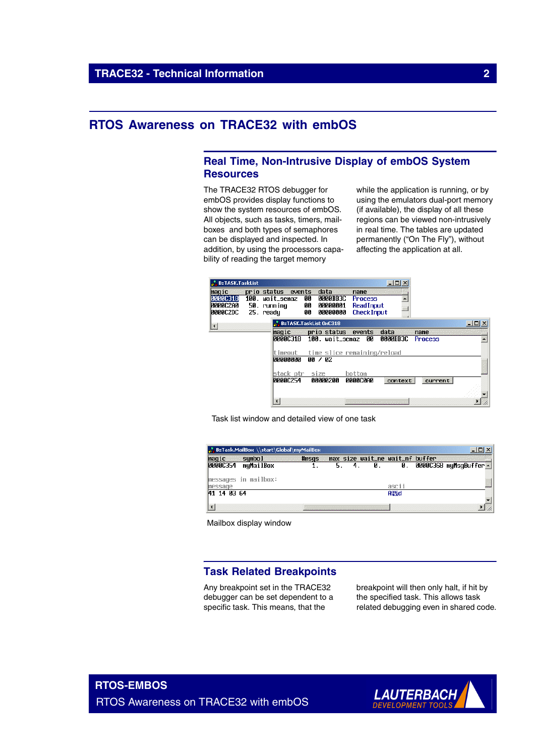## **RTOS Awareness on TRACE32 with embOS**

## **Real Time, Non-Intrusive Display of embOS System Resources**

The TRACE32 RTOS debugger for embOS provides display functions to show the system resources of embOS. All objects, such as tasks, timers, mailboxes and both types of semaphores can be displayed and inspected. In addition, by using the processors capability of reading the target memory

while the application is running, or by using the emulators dual-port memory (if available), the display of all these regions can be viewed non-intrusively in real time. The tables are updated permanently ("On The Fly"), without affecting the application at all.

| <b>B:TASK.TaskList</b>                           |                                                                   |                                                                   |                                                           | $   \Box   \times  $ |                |                  |
|--------------------------------------------------|-------------------------------------------------------------------|-------------------------------------------------------------------|-----------------------------------------------------------|----------------------|----------------|------------------|
| maqic<br>0000C318<br>0000C2A0<br><b>0000C2DC</b> | prio status events<br>100. wait_semaz<br>50. running<br>25. readu | data<br><b>QQQQBB3C</b><br>00<br>00000001<br>00<br>00<br>00000000 | name<br><b>Process</b><br>ReadInput<br><b>Check Input</b> |                      |                |                  |
| $\blacktriangleleft$                             |                                                                   | B::TASK.TaskList 0xC318                                           |                                                           |                      |                | $ \Box$ $\times$ |
|                                                  | maɑic                                                             | prio status events                                                |                                                           | data                 | name           |                  |
|                                                  | MAAAC318                                                          | 100. wait_semaz                                                   | 90                                                        | <b>0000BB3C</b>      | <b>Process</b> |                  |
|                                                  | timeout                                                           | time slice remaining/reload                                       |                                                           |                      |                |                  |
|                                                  | <b>ARAAAAAA</b>                                                   | 00 / 02                                                           |                                                           |                      |                |                  |
|                                                  | stack ptr                                                         | size                                                              | bottom                                                    |                      |                |                  |
|                                                  | 0000C254                                                          | 00000200                                                          | 0000C0A0                                                  | context              | current        |                  |
|                                                  |                                                                   |                                                                   |                                                           |                      |                |                  |
|                                                  |                                                                   |                                                                   |                                                           |                      |                |                  |

Task list window and detailed view of one task

|             | <b>.</b> B::Task.MailBox \\start\Global\myMailBox |  |                                 |             |                      |
|-------------|---------------------------------------------------|--|---------------------------------|-------------|----------------------|
|             | <b>Example 14</b> Final State 1<br>sumbol         |  | max size wait_ne wait_nf buffer |             |                      |
| 00000354    | myMailBox                                         |  | И.                              | Ø.          | 0000C368 myMsgBuffer |
|             | ⊪essages in mailbox:                              |  |                                 |             |                      |
|             |                                                   |  |                                 | ascii       |                      |
| 41 14 03 64 |                                                   |  |                                 | <b>ATEd</b> |                      |
|             |                                                   |  |                                 |             |                      |

Mailbox display window

## **Task Related Breakpoints**

Any breakpoint set in the TRACE32 debugger can be set dependent to a specific task. This means, that the

breakpoint will then only halt, if hit by the specified task. This allows task related debugging even in shared code.

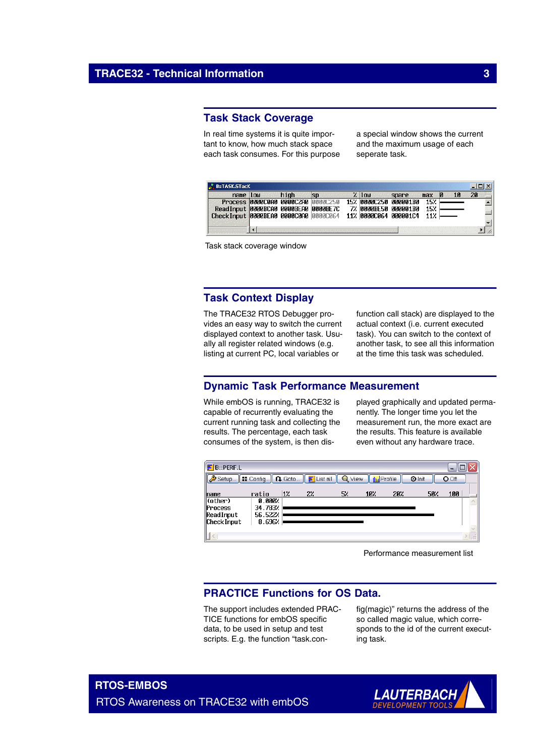## **Task Stack Coverage**

In real time systems it is quite important to know, how much stack space each task consumes. For this purpose a special window shows the current and the maximum usage of each seperate task.

| name                                      | Tun |  | . | 10W                   | spare |     |  |  |
|-------------------------------------------|-----|--|---|-----------------------|-------|-----|--|--|
| <b>Process 00000000 00000200 00000250</b> |     |  |   | 15% RAAAC25A AAAAA1RA |       | 152 |  |  |
| ReadInput 0000BCA0 0000BEA0 0000BE7C      |     |  |   | 7% 0000BE50 000001B0  |       | 152 |  |  |
| Check Input 0000BEA0 0000C0A0 0000C064    |     |  |   | 11% 00000064 00000104 |       | 11% |  |  |

Task stack coverage window

## **Task Context Display**

The TRACE32 RTOS Debugger provides an easy way to switch the current displayed context to another task. Usually all register related windows (e.g. listing at current PC, local variables or

function call stack) are displayed to the actual context (i.e. current executed task). You can switch to the context of another task, to see all this information at the time this task was scheduled.

## **Dynamic Task Performance Measurement**

While embOS is running, TRACE32 is capable of recurrently evaluating the current running task and collecting the results. The percentage, each task consumes of the system, is then displayed graphically and updated permanently. The longer time you let the measurement run, the more exact are the results. This feature is available even without any hardware trace.



Performance measurement list

## **PRACTICE Functions for OS Data.**

The support includes extended PRAC-TICE functions for embOS specific data, to be used in setup and test scripts. E.g. the function "task.config(magic)" returns the address of the so called magic value, which corresponds to the id of the current executing task.

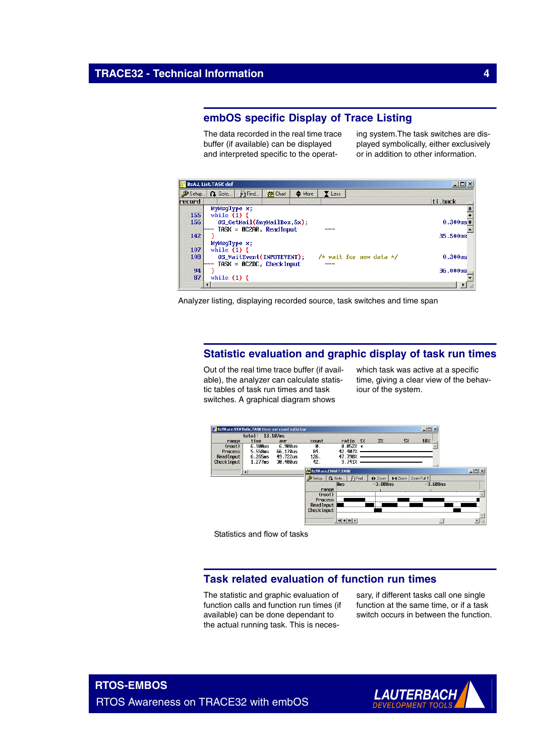## **embOS specific Display of Trace Listing**

The data recorded in the real time trace buffer (if available) can be displayed and interpreted specific to the operating system.The task switches are displayed symbolically, either exclusively or in addition to other information.

|                        | <b>B::A.L List.TASK def</b>                                                                                                                |                                                            |                  |                   |        |                           |                                    |
|------------------------|--------------------------------------------------------------------------------------------------------------------------------------------|------------------------------------------------------------|------------------|-------------------|--------|---------------------------|------------------------------------|
| Setup.                 | <b>Q</b> Goto                                                                                                                              | ा∯∱ Find                                                   | <b>End</b> Chart | $\triangleq$ More | Y Less |                           |                                    |
| record                 |                                                                                                                                            |                                                            |                  |                   |        |                           | ti.back                            |
| 155<br>156<br>142      | MyMsqType x;<br>while $(1)$ {<br>$OS_{\text{G}}$ CetMail $(\delta$ myMailBox, $\delta$ x);<br>$TASK = 0C200$ , $ReadInput$<br>MyMsqType x; | $0.300$ us $3$<br>$35.500$ us                              |                  |                   |        |                           |                                    |
| 107<br>108<br>94<br>87 | while $(1)$ {<br>while $(1)$ {                                                                                                             | OS_WaitEvent(INPUTEVENT);<br>$TASK = 0C2DC$ , $CheckInput$ |                  |                   |        | /* wait for new data $*/$ | 0.300 <sub>us</sub><br>$36.000$ us |

Analyzer listing, displaying recorded source, task switches and time span

## **Statistic evaluation and graphic display of task run times**

Out of the real time trace buffer (if available), the analyzer can calculate statistic tables of task run times and task switches. A graphical diagram shows

which task was active at a specific time, giving a clear view of the behaviour of the system.



Statistics and flow of tasks

## **Task related evaluation of function run times**

The statistic and graphic evaluation of function calls and function run times (if available) can be done dependant to the actual running task. This is necessary, if different tasks call one single function at the same time, or if a task switch occurs in between the function.

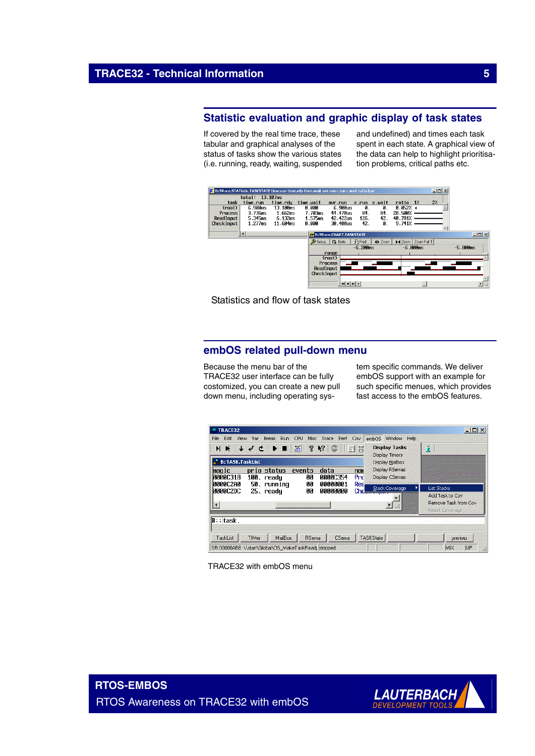## **Statistic evaluation and graphic display of task states**

If covered by the real time trace, these tabular and graphical analyses of the status of tasks show the various states (i.e. running, ready, waiting, suspended and undefined) and times each task spent in each state. A graphical view of the data can help to highlight prioritisation problems, critical paths etc.



Statistics and flow of task states

## **embOS related pull-down menu**

Because the menu bar of the TRACE32 user interface can be fully costomized, you can create a new pull down menu, including operating system specific commands. We deliver embOS support with an example for such specific menues, which provides fast access to the embOS features.



TRACE32 with embOS menu

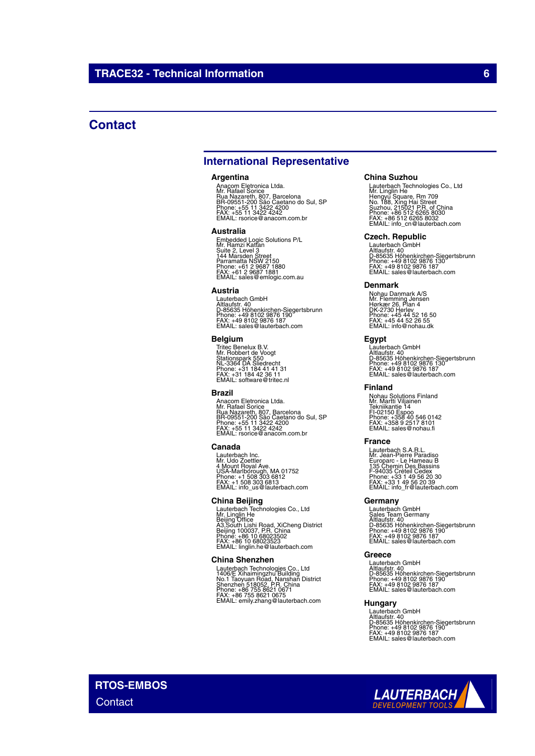## **Contact**

## **International Representative**

#### **Argentina**

Anacom Eletronica Ltda.<br>Mr. Rafael Sorice<br>Rua Nazareth, 807, Barcelona<br>BR-09551-200 São Caetano do Sul, SP<br>Phone: +55 11 3422 4242<br>FAX: +55 11 3422 4242<br>EMAIL: rsorice@anacom.com.br

#### **Australia**

Embedded Logic Solutions P/L<br>Mr. Ramzi Kattan<br>Suite 2, Level 3<br>Parramatta NSW 2150<br>Parramatta NSW 2150<br>Phone: +61 2 9687 1880<br>FMAIL: sales@emlogic.com.au

### **Austria**

Lauterbach GmbH<br>Altlaufstr. 40<br>D-85635 Höhenkirchen-Siegertsbrunn<br>Phone: +49 8102 9876 187<br>FAX: +49 8102 9876 187<br>EMAIL: sales@lauterbach.com

#### **Belgium**

Tritec Benelux B.V. Mr. Robbert de Voogt Stationspark 550 NL-3364 DA Sliedrecht Phone: +31 184 41 41 31 FAX: +31 184 42 36 11 EMAIL: software@tritec.nl

#### **Brazil**

Anacom Eletronica Ltda.<br>Mr. Rafael Sorice<br>Rua Nazareth, 807, Barcelona<br>BR-09551-200 São Caetano do Sul, SP<br>Phone: +55 11 3422 4242<br>FAX: +55 11 3422 4242<br>EMAIL: rsorice@anacom.com.br

#### **Canada**

Lauterbach Inc. Mr. Udo Zoettler 4 Mount Royal Ave. USA-Marlborough, MA 01752 Phone: +1 508 303 6812 FAX: +1 508 303 6813 EMAIL: info\_us@lauterbach.com

### **China Beijing**

Lauterbach Technologies Co., Ltd<br>Mr. Linglin He<br>Beijing Office<br>A3,South Lishi Road, XiCheng District<br>Beijing 100037, P.R. China<br>Phone: +86 10 68023523<br>EMAIL: linglin.he@lauterbach.com

### **China Shenzhen**

Lauterbach Technologies Co., Ltd<br>1406/E Xihaimingzhu Building<br>No.1 Taoyuan Road, Nanshan District<br>Shenzhen 518052, P.R. China<br>Phone: +86 755 8621 0675<br>FAX: +86 755 8621 0675<br>EMAIL: emily.zhang@lauterbach.com

#### **China Suzhou**

Lauterbach Technologies Co., Ltd<br>Mr. Linglin He<br>Hengyu Square, Rm 709<br>Suzhou, 215021 P.R. of China<br>Suzhou, 215021 P.R. of China<br>Phone: +86 512 6265 8030<br>FMAIL: info\_cn@lauterbach.com

## **Czech. Republic**

Lauterbach GmbH<br>Altlaufstr. 40<br>D-85635 Höhenkirchen-Siegertsbrunn<br>Phone: +49 8102 9876 187<br>FAX: +49 8102 9876 187<br>EMAIL: sales@lauterbach.com

#### **Denmark**

Nohau Danmark A/S<br>Mr. Flemming Jensen<br>Hørkær 26, Plan 4<br>DK-2730 Herlev<br>Phone: +45 44 52 16 50<br>FAX: +45 44 52 26 55<br>EMAIL: info@nohau.dk

### **Egypt**

Lauterbach GmbH<br>Altlaufstr. 40<br>D-85635 Höhenkirchen-Siegertsbrunn<br>Phone: +49 8102 9876 187<br>FAX: +49 8102 9876 187<br>EMAIL: sales@lauterbach.com

## **Finland**

Nohau Solutions Finland Mr. Martti Viljainen Tekniikantie 14 FI-02150 Espoo Phone: +358 40 546 0142 FAX: +358 9 2517 8101 EMAIL: sales@nohau.fi

### **France**

Lauterbach S.A.R.L.<br>Mr. Jean-Pierre Paradiso<br>Europarc - Le Hameau B<br>135 Chemin Des Bassins<br>F-94035 Créteil Cedex<br>Phone: +33 1 49 56 20 30<br>EMAIL: info\_fr@lauterbach.com<br>EMAIL: info\_fr@lauterbach.com

## **Germany**

Lauterbach GmbH<br>Sales Team Germany<br>Altlaufstr. 40<br>D-85635 Höhenkirchen-Siegertsbrunn<br>Phone: +49 8102 9876 187<br>FAX: +49 8102 9876 187<br>EMAIL: sales@lauterbach.com

### **Greece**

Lauterbach GmbH Altlaufstr. 40 D-85635 Höhenkirchen-Siegertsbrunn Phone: +49 8102 9876 190 FAX: +49 8102 9876 187 EMAIL: sales@lauterbach.com

## **Hungary**

Lauterbach GmbH<br>Altlaufstr. 40<br>D-85635 Höhenkirchen-Siegertsbrunn<br>Phone: +49 8102 9876 187<br>FAX: +49 8102 9876 187<br>EMAIL: sales@lauterbach.com



**RTOS-EMBOS**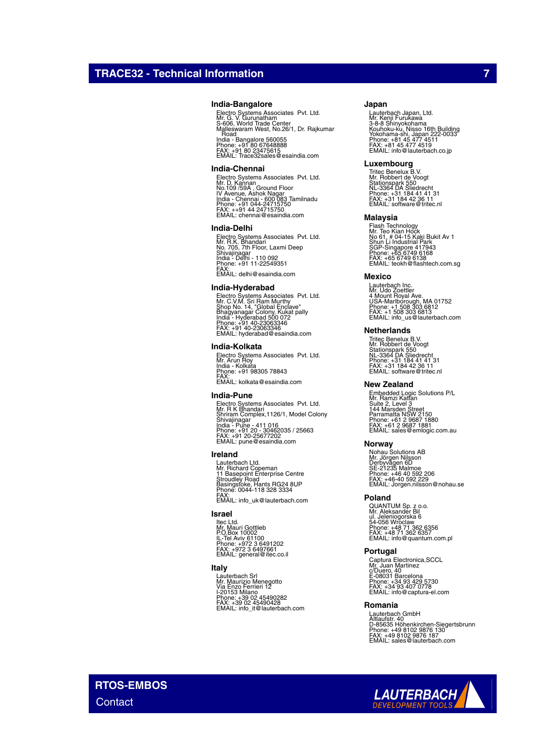### **India-Bangalore**

Electro Systems Associates Pvt. Ltd.<br>Mr. G. V. Gurunatham<br>Malleswaram West, No.26/1, Dr. Rajkumar<br>Malleswaram West, No.26/1, Dr. Rajkumar<br>. Road India - Bangalore 560055 Phone: +91 80 67648888 FAX: +91 80 23475615 EMAIL: Trace32sales@esaindia.com

#### **India-Chennai**

Electro Systems Associates Pvt. Ltd.<br>Mr. D. Kannan<br>IV Avenue, Ashok Nagar<br>India - Chennai - 600 083 Tamilnadu<br>India - Chennai - 600 083 Tamilnadu<br>Phone: +91 044-24715750<br>EMAIL: chennai@esaindia.com

#### **India-Delhi**

Electro Systems Associates Pvt. Ltd.<br>Mr. R.K. Bhandari<br>Shivajinagar<br>Shivajinagar<br>India - Delhi - 110 092<br>Phone: +91 11-22549351<br>FMAIL: delhi@esaindia.com

#### **India-Hyderabad**

Electro Systems Associates Pvt. Ltd.<br>Mr. C.V.M. Sri Ram Murthy<br>Shop No. 14, "Global Enclave"<br>India - Hyderabad 500 072<br>India - Hyderabad 500 072<br>Phone: +91 40-23063346<br>EMAIL: hyderabad@esaindia.com

### **India-Kolkata**

Electro Systems Associates Pvt. Ltd. Mr. Arun Roy India - Kolkata Phone: +91 98305 78843 FAX: EMAIL: kolkata@esaindia.com

#### **India-Pune**

Electro Systems Associates Pvt. Ltd.<br>Mr. R K Bhandari<br>Shrivajinagar<br>Shivajinagar<br>India - Pune - 411 016<br>Phone: +91 20 - 30462035 / 25663<br>PAX: +91 20 -25677202<br>EMAIL: pune@esaindia.com

## **Ireland**

Lauterbach Ltd. Mr. Richard Copeman 11 Basepoint Enterprise Centre Stroudley Road Basingstoke, Hants RG24 8UP Phone: 0044-118 328 3334 FAX: EMAIL: info\_uk@lauterbach.com

#### **Israel**

ltec Ltd.<br>Mr. Mauri Gottlieb<br>P.O.Box 10002<br>IL-Tel Aviv 61100<br>Phone: +972 3 6497661<br>FMAIL: general@itec.co.il

## **Italy**

Lauterbach Srl Mr. Maurizio Menegotto Via Enzo Ferrieri 12 I-20153 Milano Phone: +39 02 45490282 FAX: +39 02 45490428 EMAIL: info\_it@lauterbach.com

#### **Japan**

Lauterbach Japan, Ltd.<br>3-8-8 Shinyokohama<br>X-8-8 Shinyokohama<br>Yokohama-shi, Japan 222-0033<br>Yokohama-shi, Japan 222-0033<br>Phone: +81 45 477 4519<br>EMAIL: info@lauterbach.co.jp

#### **Luxembourg**

Tritec Benelux B.V. Mr. Robbert de Voogt Stationspark 550 NL-3364 DA Sliedrecht Phone: +31 184 41 41 31 FAX: +31 184 42 36 11 EMAIL: software@tritec.nl

### **Malaysia**

Flash Technology<br>Mr. Teo Kian Hock<br>No 61, # 04-15 Kaki Bukit Av 1<br>Shun Li Industrial Park<br>SGP-Singapore 417943<br>Phone: +65 6749 6138<br>PMAIL: teokh@flashtech.com.sg<br>EMAIL: teokh@flashtech.com.sg

### **Mexico**

Lauterbach Inc. Mr. Udo Zoettler 4 Mount Royal Ave. USA-Marlborough, MA 01752 Phone: +1 508 303 6812 FAX: +1 508 303 6813 EMAIL: info\_us@lauterbach.com

### **Netherlands**

Tritec Benelux B.V. Mr. Robbert de Voogt Stationspark 550 NL-3364 DA Sliedrecht Phone: +31 184 41 41 31 FAX: +31 184 42 36 11 EMAIL: software@tritec.nl

#### **New Zealand**

Embedded Logic Solutions P/L<br>Mr. Ramzi Kattan<br>Suite 2, Level 3<br>Parramatta NSW 2150<br>Parramatta NSW 2150<br>Phone: +61 2 9687 1880<br>Phone: +61 2 9687 1881<br>EMAIL: sales@emlogic.com.au

#### **Norway**

Nohau Solutions AB<br>Mr. Jörgen Nilsson<br>Derbyvägen 6D<br>SE-21235 Malmoe<br>Phone: +46 40 592 2206<br>FAX: +46-40 592 229<br>EMAIL: Jorgen.nilsson@nohau.se

#### **Poland**

QUANTUM Sp. z o.o.<br>Mr. Aleksander Bil<br>ul. Jeleniogorska 6<br>54-056 Wroclaw<br>Phone: +48 71 362 6357<br>FAX: +48 71 362 6357<br>EMAIL: info@quantum.com.pl

#### **Portugal**

Captura Electronica,SCCL<br>Mr. Juan Martinez<br>c/Duero, 40<br>E-08031 Barcelona<br>Phone: +34 93 407 0778<br>FAX: +34 93 407 0778<br>EMAIL: info@captura-el.com

#### **Romania**

Lauterbach GmbH<br>Altlaufstr. 40<br>D-85635 Höhenkirchen-Siegertsbrunn<br>Phone: +49 8102 9876 187<br>FAX: +49 8102 9876 187<br>EMAIL: sales@lauterbach.com

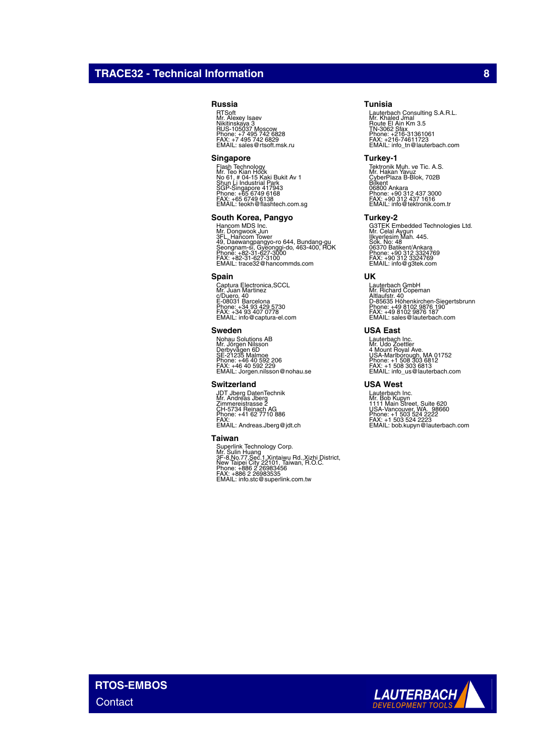## **TRACE32 - Technical Information 8**

## **Russia**

RTSoft Mr. Alexey Isaev Nikitinskaya 3 RUS-105037 Moscow Phone: +7 495 742 6828 FAX: +7 495 742 6829 EMAIL: sales@rtsoft.msk.ru

### **Singapore**

Flash Technology<br>Mr. Teo Kian Hock<br>No 61, # 04-15 Kaki Bukit Av 1<br>Shun Li Industrial Park<br>SGP-Singapore 417943<br>Phone: +65 6749 6138<br>FMAIL: teokh@flashtech.com.sg<br>EMAIL: teokh@flashtech.com.sg

### **South Korea, Pangyo**

Hancom MDS Inc.<br>Mr. Dongwook Jun<br>3FL. Hancom Tower<br>Seongnam-si, Gyeonggi-do, 463-400, ROK<br>Seongnam-si, Gyeonggi-do, 463-400, ROK<br>Phone: +82-31-627-3100<br>EMAIL: trace32@hancommds.com

#### **Spain**

Captura Electronica,SCCL Mr. Juan Martinez c/Duero, 40 E-08031 Barcelona Phone: +34 93 429 5730 FAX: +34 93 407 0778 EMAIL: info@captura-el.com

### **Sweden**

Nohau Solutions AB<br>Mr. Jörgen Nilsson<br>Derbyvägen 6D<br>SE-21235 Malmoe<br>Phone: +46 40 592 2206<br>FAX: +46 40 592 229<br>EMAIL: Jorgen.nilsson@nohau.se

#### **Switzerland**

JDT Jberg DatenTechnik Mr. Andreas Jberg Zimmereistrasse 2 CH-5734 Reinach AG Phone: +41 62 7710 886 FAX: EMAIL: Andreas.Jberg@jdt.ch

#### **Taiwan**

Superlink Technology Corp.<br>Mr. Sulin Huang<br>3F-8,No.77,Sec.1,Xintaiwu Rd.,Xizhi District,<br>New Taipei City 22101, Taiwan, R.O.C.<br>Phone: +886 2 26983535<br>FAX: +886 2 26983535<br>EMAIL: info.stc@superlink.com.tw

### **Tunisia**

Lauterbach Consulting S.A.R.L.<br>Mr. Khaled Jmal<br>Route El Ain Km 3.5<br>TN-3062 Sfax<br>Phone: +216-31361061<br>FMX: -216-74611723<br>EMAIL: info\_tn@lauterbach.com

#### **Turkey-1**

Tektronik Muh. ve Tic. A.S.<br>Mr. Hakan Yavuz<br>Bilkent<br>CyberPlaza B-Blok, 702B<br>06800 Ankara<br>Phone: +90 312 437 3000<br>Phone: +90 312 437 1616<br>EMAIL: info@tektronik.com.tr

## **Turkey-2**

G3TEK Embedded Technologies Ltd. Mr. Celal Aygun Ilkyerlesim Mah. 445. Sok. No: 48 06370 Batikent/Ankara Phone: +90 312 3324769 FAX: +90 312 3324769 EMAIL: info@g3tek.com

### **UK**

Lauterbach GmbH Mr. Richard Copeman Altlaufstr. 40 D-85635 Höhenkirchen-Siegertsbrunn Phone: +49 8102 9876 190 FAX: +49 8102 9876 187 EMAIL: sales@lauterbach.com

## **USA East**

Lauterbach Inc. Mr. Udo Zoettler 4 Mount Royal Ave. USA-Marlborough, MA 01752 Phone: +1 508 303 6812 FAX: +1 508 303 6813 EMAIL: info\_us@lauterbach.com

### **USA West**

Lauterbach Inc.<br>Mr. Bob Kupyn<br>1111 Main Street, Suite 620<br>USA-Vancouver, WA. 98660<br>Phone: +1 503 524 2222<br>FAX: +1 503 524 2223<br>EMAIL: bob.kupyn@lauterbach.com

**RTOS-EMBOS Contact** 

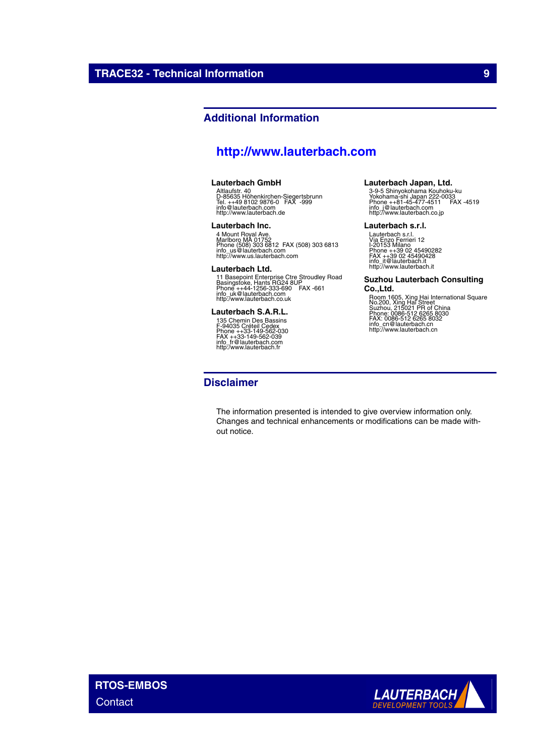## **Additional Information**

# **<http://www.lauterbach.com>**

## **Lauterbach GmbH**

Altlaufstr. 40 D-85635 Höhenkirchen-Siegertsbrunn Tel. ++49 8102 9876-0 FAX -999 info@lauterbach.com http://www.lauterbach.de

### **Lauterbach Inc.**

4 Mount Royal Ave.<br>Marlboro MA 01752<br>Phone (508) 303 6812 FAX (508) 303 6813<br>intp://www.us.lauterbach.com<br>http://www.us.lauterbach.com

### **Lauterbach Ltd.**

11 Basepoint Enterprise Ctre Stroudley Road<br>Basingstoke, Hants RG24 8UP<br>Phone ++44-1256-333-690 FAX -661<br>info\_uk@lauterbach.co.uk<br>http:/www.lauterbach.co.uk

## **Lauterbach S.A.R.L.**

135 Chemin Des Bassins F-94035 Créteil Cedex Phone ++33-149-562-030 FAX ++33-149-562-039 info\_fr@lauterbach.com http:/www.lauterbach.fr

## **Disclaimer**

## The information presented is intended to give overview information only. Changes and technical enhancements or modifications can be made without notice.

# **Lauterbach Japan, Ltd.**

3-9-5 Shinyokohama Kouhoku-ku Yokohama-shi Japan 222-0033 Phone ++81-45-477-4511 FAX -4519 info\_j@lauterbach.com http://www.lauterbach.co.jp

#### **Lauterbach s.r.l.**

Lauterbach s.r.l.<br>Via Enzo Ferrieri 12<br>I-20153 Milano<br>Phone ++39 02 45490282<br>FAX ++39 02 45490428<br>info\_it@lauterbach.it http://www.lauterbach.it

## **Suzhou Lauterbach Consulting**

**Co.,Ltd.** Room 1605, Xing Hai International Square No.200, Xing Hai Street Suzhou, 215021 PR of China Phone: 0086-512 6265 8030 FAX: 0086-512 6265 8032 info\_cn@lauterbach.cn http://www.lauterbach.cn